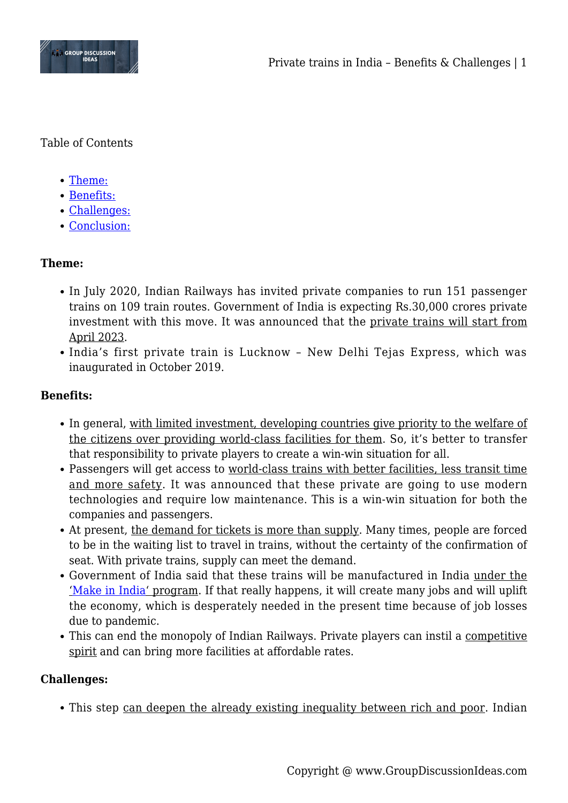

Table of Contents

- [Theme:](#page--1-0)
- [Benefits:](#page--1-0)
- [Challenges:](#page--1-0)
- [Conclusion:](#page--1-0)

# **Theme:**

- In July 2020, Indian Railways has invited private companies to run 151 passenger trains on 109 train routes. Government of India is expecting Rs.30,000 crores private investment with this move. It was announced that the private trains will start from April 2023.
- India's first private train is Lucknow New Delhi Tejas Express, which was inaugurated in October 2019.

## **Benefits:**

- In general, with limited investment, developing countries give priority to the welfare of the citizens over providing world-class facilities for them. So, it's better to transfer that responsibility to private players to create a win-win situation for all.
- Passengers will get access to world-class trains with better facilities, less transit time and more safety. It was announced that these private are going to use modern technologies and require low maintenance. This is a win-win situation for both the companies and passengers.
- At present, the demand for tickets is more than supply. Many times, people are forced to be in the waiting list to travel in trains, without the certainty of the confirmation of seat. With private trains, supply can meet the demand.
- Government of India said that these trains will be manufactured in India under the '[Make in India'](https://www.groupdiscussionideas.com/is-make-in-india-a-success/) program. If that really happens, it will create many jobs and will uplift the economy, which is desperately needed in the present time because of job losses due to pandemic.
- This can end the monopoly of Indian Railways. Private players can instil a competitive spirit and can bring more facilities at affordable rates.

## **Challenges:**

• This step can deepen the already existing inequality between rich and poor. Indian